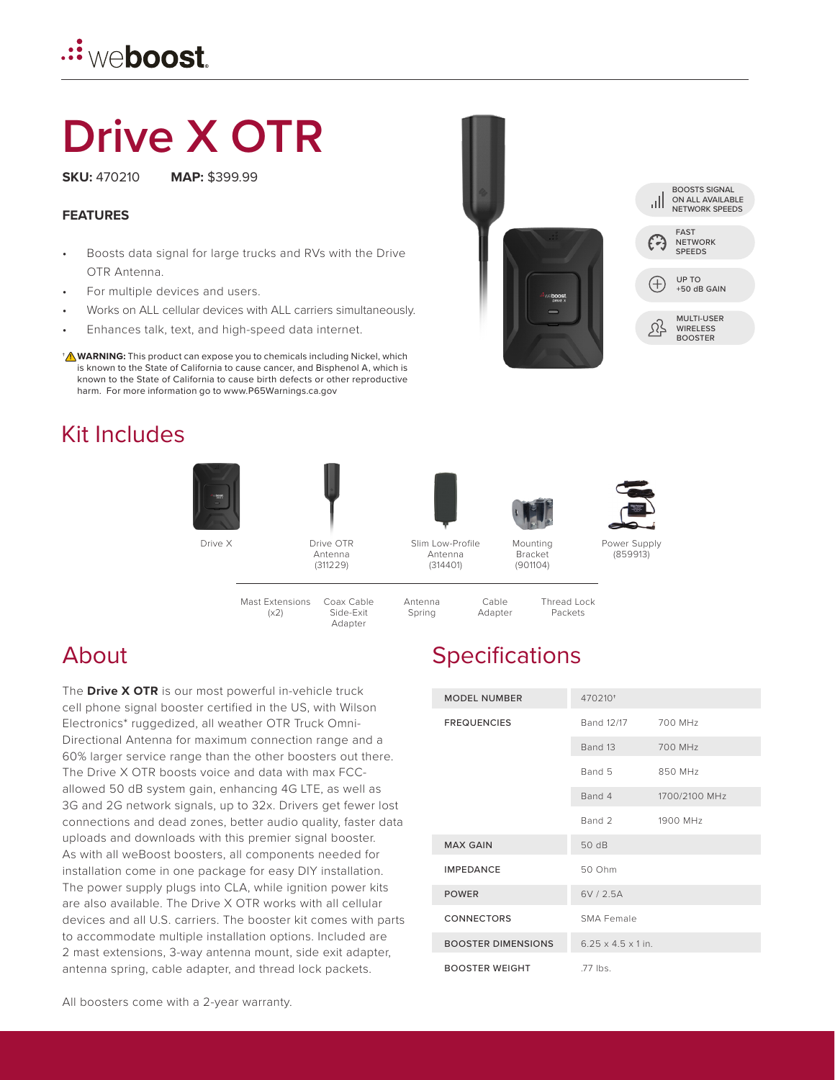

# **Drive X OTR**

**SKU:** 470210 **MAP:** \$399.99

**FEATURES**

- Boosts data signal for large trucks and RVs with the Drive OTR Antenna.
- For multiple devices and users.
- Works on ALL cellular devices with ALL carriers simultaneously.
- Enhances talk, text, and high-speed data internet.
- **WARNING:** This product can expose you to chemicals including Nickel, which † **!** is known to the State of California to cause cancer, and Bisphenol A, which is known to the State of California to cause birth defects or other reproductive harm. For more information go to www.P65Warnings.ca.gov

### Kit Includes





Drive X Drive OTR Antenna (311229)

Slim Low-Profile Antenna (314401)



Bracket (901104)



Power Supply (859913)

Coax Cable Side-Exit Adapter Mast Extensions  $(x2)$ 



Thread Lock Packets

## **Specifications**

Cable Adapter

| <b>MODEL NUMBER</b>       | 470210 <sup>+</sup>            |               |
|---------------------------|--------------------------------|---------------|
| <b>FREQUENCIES</b>        | Band 12/17                     | 700 MHz       |
|                           | Band 13                        | 700 MHz       |
|                           | Band 5                         | 850 MHz       |
|                           | Band 4                         | 1700/2100 MHz |
|                           | Band 2                         | 1900 MHz      |
| <b>MAX GAIN</b>           | 50 dB                          |               |
| <b>IMPEDANCE</b>          | 50 Ohm                         |               |
| <b>POWER</b>              | 6V / 2.5A                      |               |
| <b>CONNECTORS</b>         | SMA Female                     |               |
| <b>BOOSTER DIMENSIONS</b> | $6.25 \times 4.5 \times 1$ in. |               |
| <b>BOOSTER WEIGHT</b>     | .77 lbs.                       |               |

#### About

The **Drive X OTR** is our most powerful in-vehicle truck cell phone signal booster certified in the US, with Wilson Electronics\* ruggedized, all weather OTR Truck Omni-Directional Antenna for maximum connection range and a 60% larger service range than the other boosters out there. The Drive X OTR boosts voice and data with max FCCallowed 50 dB system gain, enhancing 4G LTE, as well as 3G and 2G network signals, up to 32x. Drivers get fewer lost connections and dead zones, better audio quality, faster data uploads and downloads with this premier signal booster. As with all weBoost boosters, all components needed for installation come in one package for easy DIY installation. The power supply plugs into CLA, while ignition power kits are also available. The Drive X OTR works with all cellular devices and all U.S. carriers. The booster kit comes with parts to accommodate multiple installation options. Included are 2 mast extensions, 3-way antenna mount, side exit adapter, antenna spring, cable adapter, and thread lock packets.